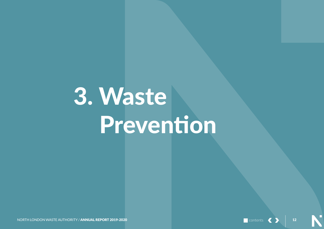# 3. Waste Prevention

**contents** 

 $\overline{\phantom{a}}$  12

NORTH LONDON WASTE AUTHORITY / ANNUAL REPORT 2019-2020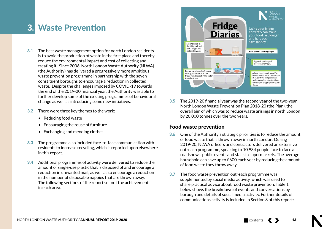# 3. Waste Prevention

- 3.1 The best waste management option for north London residents is to avoid the production of waste in the first place and thereby reduce the environmental impact and cost of collecting and treating it. Since 2006, North London Waste Authority (NLWA) (the Authority) has delivered a progressively more ambitious waste prevention programme in partnership with the seven constituent boroughs to encourage a reduction in collected waste. Despite the challenges imposed by COVID-19 towards the end of the 2019-20 financial year, the Authority was able to further develop some of the existing programmes of behavioural change as well as introducing some new initiatives.
- 3.2 There were three key themes to the work:
	- Reducing food waste
	- Encouraging the reuse of furniture
	- Exchanging and mending clothes
- 3.3 The programme also included face-to-face communication with residents to increase recycling, which is reported upon elsewhere in this report.
- 3.4 Additional programmes of activity were delivered to reduce the amount of single-use plastic that is disposed of and encourage a reduction in unwanted mail, as well as to encourage a reduction in the number of disposable nappies that are thrown away. The following sections of the report set out the achievements in each area.



3.5 The 2019-20 financial year was the second year of the two-year North London Waste Prevention Plan 2018-20 (the Plan), the overall aim of which was to reduce waste arisings in north London by 20,000 tonnes over the two years.

# Food waste prevention

- 3.6 One of the Authority's strategic priorities is to reduce the amount of food waste that is thrown away in north London. During 2019-20, NLWA officers and contractors delivered an extensive outreach programme, speaking to 10,934 people face to face at roadshows, public events and stalls in supermarkets. The average household can save up to £600 each year by reducing the amount of food waste they throw away.
- 3.7 The food waste prevention outreach programme was supplemented by social media activity, which was used to share practical advice about food waste prevention. Table 1 below shows the breakdown of events and conversations by borough and details of social media activity. Further details of communications activity is included in Section 8 of this report: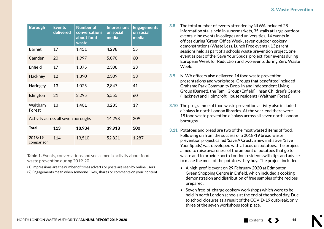| <b>Borough</b>                     | <b>Events</b><br>delivered | <b>Number of</b><br>conversations<br>about food<br>waste | <b>Impressions</b><br>on social<br>media | <b>Engagements</b><br>on social<br>media |
|------------------------------------|----------------------------|----------------------------------------------------------|------------------------------------------|------------------------------------------|
| <b>Barnet</b>                      | 17                         | 1,451                                                    | 4,298                                    | 55                                       |
| Camden                             | 20                         | 1,997                                                    | 5,070                                    | 60                                       |
| Enfield                            | 17                         | 1,375                                                    | 2,308                                    | 23                                       |
| Hackney                            | 12                         | 1,390                                                    | 2,309                                    | 33                                       |
| Haringey                           | 13                         | 1,025                                                    | 2,847                                    | 41                                       |
| Islington                          | 21                         | 2,295                                                    | 5,555                                    | 60                                       |
| Waltham<br>Forest                  | 13                         | 1,401                                                    | 3,233                                    | 19                                       |
| Activity across all seven boroughs |                            |                                                          | 14,298                                   | 209                                      |
| <b>Total</b>                       | 113                        | 10,934                                                   | 39,918                                   | 500                                      |
| 2018/19<br>comparison              | 114                        | 13,510                                                   | 52,821                                   | 1,287                                    |

Table 1. Events, conversations and social media activity about food waste prevention during 2019-20

(1) Impressions are the number of times adverts or posts are seen by online users (2) Engagements mean when someone 'likes', shares or comments on your content

- 3.8 The total number of events attended by NLWA included 28 information stalls held in supermarkets, 35 stalls at large outdoor events, nine events in colleges and universities, 14 events in offices during 'Green Office Week', seven outdoor cookery demonstrations (Waste Less, Lunch Free events), 13 parent sessions held as part of a schools waste prevention project, one event as part of the 'Save Your Spuds' project, four events during European Week for Reduction and two events during Zero Waste Week.
- 3.9 NLWA officers also delivered 14 food waste prevention presentations and workshops. Groups that benefitted included Grahame Park Community Drop-In and Independent Living Group (Barnet), the Tamil Group (Enfield), Ihsan Children's Centre (Hackney) and Holmcroft House residents (Waltham Forest).
- 3.10 The programme of food waste prevention activity also included displays in north London libraries. At the year-end there were 18 food waste prevention displays across all seven north London boroughs.
- 3.11 Potatoes and bread are two of the most wasted items of food. Following on from the success of a 2018-19 bread waste prevention project called 'Save A Crust', a new initiative, 'Save Your Spuds', was developed with a focus on potatoes. The project aimed to raise awareness of the amount of potatoes that go to waste and to provide north London residents with tips and advice to make the most of the potatoes they buy. The project included:
	- A high-profile event on 29 February 2020 at Edmonton Green Shopping Centre in Enfield, which included a cooking demonstration and distribution of free samples of the recipes prepared.
	- Seven free-of-charge cookery workshops which were to be held in north London schools at the end of the school day. Due to school closures as a result of the COVID-19 outbreak, only three of the seven workshops took place.

contents <>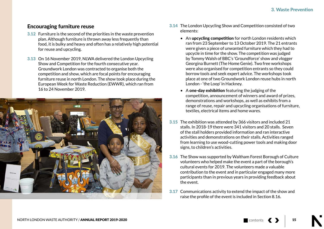# Encouraging furniture reuse

- 3.12 Furniture is the second of the priorities in the waste prevention plan. Although furniture is thrown away less frequently than food, it is bulky and heavy and often has a relatively high potential for reuse and upcycling.
- 3.13 On 16 November 2019, NLWA delivered the London Upcycling Show and Competition for the fourth consecutive year. Groundwork London was contracted to organise both the competition and show, which are focal points for encouraging furniture reuse in north London. The show took place during the European Week for Waste Reduction (EWWR), which ran from 16 to 24 November 2019.



- 3.14 The London Upcycling Show and Competition consisted of two elements:
	- An **upcycling competition** for north London residents which ran from 23 September to 13 October 2019. The 21 entrants were given a piece of unwanted furniture which they had to upcycle in time for the show. The competition was judged by Tommy Walsh of BBC's 'Groundforce' show and vlogger Georgina Burnett (The Home Genie). Two free workshops were also organised for competition entrants so they could borrow tools and seek expert advice. The workshops took place at one of two Groundwork London reuse hubs in north London - 'the Loop' in Hackney.
	- A one-day exhibition featuring the judging of the competition, announcement of winners and award of prizes, demonstrations and workshops, as well as exhibits from a range of reuse, repair and upcycling organisations of furniture, textiles, electrical items and home wares.
- 3.15 The exhibition was attended by 366 visitors and included 21 stalls. In 2018-19 there were 341 visitors and 20 stalls. Seven of the stall holders provided information and ran interactive activities and demonstrations on their stalls. Activities ranged from learning to use wood-cutting power tools and making door signs, to children's activities.
- 3.16 The Show was supported by Waltham Forest Borough of Culture volunteers who helped make the event a part of the borough's cultural events for 2019. The volunteers made a valuable contribution to the event and in particular engaged many more participants than in previous years in providing feedback about the event.
- 3.17 Communications activity to extend the impact of the show and raise the profile of the event is included in Section 8.16.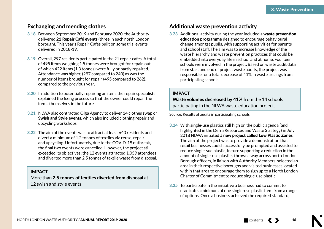## Exchanging and mending clothes

- 3.18 Between September 2019 and February 2020, the Authority delivered 21 Repair Café events (three in each north London borough). This year's Repair Cafés built on some trial events delivered in 2018-19.
- 3.19 Overall, 297 residents participated in the 21 repair cafes. A total of 495 items weighing 1.5 tonnes were brought for repair, out of which 422 items (1.3 tonnes) were fully or partly repaired. Attendance was higher, (297 compared to 240) as was the number of items brought for repair (495 compared to 262), compared to the previous year.
- 3.20 In addition to potentially repairing an item, the repair specialists explained the fixing process so that the owner could repair the items themselves in the future.
- 3.21 NLWA also contracted Olga Agency to deliver 14 clothes swap or Swish and Style events, which also included clothing repair and upcycling workshops.
- 3.22 The aim of the events was to attract at least 640 residents and divert a minimum of 1.2 tonnes of textiles via reuse, repair and upcycling. Unfortunately, due to the COVID-19 outbreak, the final two events were cancelled. However, the project still exceeded its objectives; the 12 events attracted 1,059 attendees and diverted more than 2.5 tonnes of textile waste from disposal.

#### IMPACT

More than 2.5 tonnes of textiles diverted from disposal at 12 swish and style events

# Additional waste prevention activity

3.23 Additional activity during the year included a waste prevention education programme designed to encourage behavioural change amongst pupils, with supporting activities for parents and school staff. The aim was to increase knowledge of the waste hierarchy and waste prevention practices that could be embedded into everyday life in school and at home. Fourteen schools were involved in the project. Based on waste audit data from start and end of project waste audits, the project was responsible for a total decrease of 41% in waste arisings from participating schools.

#### IMPACT

Waste volumes decreased by 41% from the 14 schools participating in the NLWA waste education project.

Source: Results of audits in participating schools.

- 3.24 With single-use plastics still high on the public agenda (and highlighted in the Defra Resources and Waste Strategy) in July 2018 NLWA initiated a new project called Low Plastic Zones. The aim of the project was to provide a demonstration that retail businesses could successfully be prompted and assisted to reduce single-sue plastic, in turn supporting a reduction in the amount of single-use plastics thrown away across north London. Borough officers, in liaison with Authority Members, selected an area in their respective boroughs and visited businesses located within that area to encourage them to sign up to a North London Charter of Commitment to reduce single-use plastic.
- 3.25 To participate in the initiative a business had to commit to eradicate a minimum of one single-use plastic item from a range of options. Once a business achieved the required standard,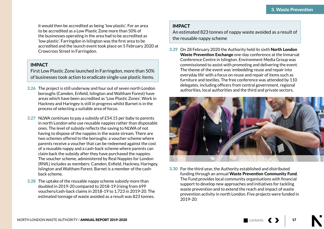it would then be accredited as being 'low plastic'. For an area to be accredited as a Low Plastic Zone more than 50% of the businesses operating in the area had to be accredited as 'low plastic'. Farringdon in Islington was the first area to be accredited and the launch event took place on 5 February 2020 at Crowcross Street in Farringdon.

#### IMPACT

First Low Plastic Zone launched in Farringdon, more than 50% of businesses took action to eradicate single-use plastic items.

- 3.26 The project is still underway and four out of seven north London boroughs (Camden, Enfield, Islington and Waltham Forest) have areas which have been accredited as 'Low Plastic Zones'. Work in Hackney and Haringey is still in progress whilst Barnet is in the process of selecting a suitable area of focus.
- 3.27 NLWA continues to pay a subsidy of £54.15 per baby to parents in north London who use reusable nappies rather than disposable ones. The level of subsidy reflects the saving to NLWA of not having to dispose of the nappies in the waste stream. There are two schemes offered to the boroughs: a voucher scheme where parents receive a voucher that can be redeemed against the cost of a reusable nappy and a cash-back scheme where parents can claim back the subsidy after they have purchased the nappies. The voucher scheme, administered by Real Nappies for London (RNfL) includes as members: Camden, Enfield, Hackney, Haringey, Islington and Waltham Forest. Barnet is a member of the cashback scheme.
- 3.28 The uptake of the reusable nappy scheme subsidy more than doubled in 2019-20 compared to 2018-19 (rising from 699 vouchers/cash-back claims in 2018-19 to 1,723 in 2019-20. The estimated tonnage of waste avoided as a result was 823 tonnes.

### IMPACT

An estimated 823 tonnes of nappy waste avoided as a result of the reusable nappy scheme

3.29 On 28 February 2020 the Authority held its sixth North London Waste Prevention Exchange one-day conference at the Inmarsat Conference Centre in Islington. Environment Media Group was commissioned to assist with promoting and delivering the event. The theme of the event was 'embedding reuse and repair into everyday life' with a focus on reuse and repair of items such as furniture and textiles. The free conference was attended by 110 delegates, including officers from central government, regional authorities, local authorities and the third and private sectors.



3.30 For the third year, the Authority established and distributed funding through an annual Waste Prevention Community Fund. The Fund provides local community organisations with financial support to develop new approaches and initiatives for tackling waste prevention and to extend the reach and impact of waste prevention activity in north London. Five projects were funded in 2019-20: